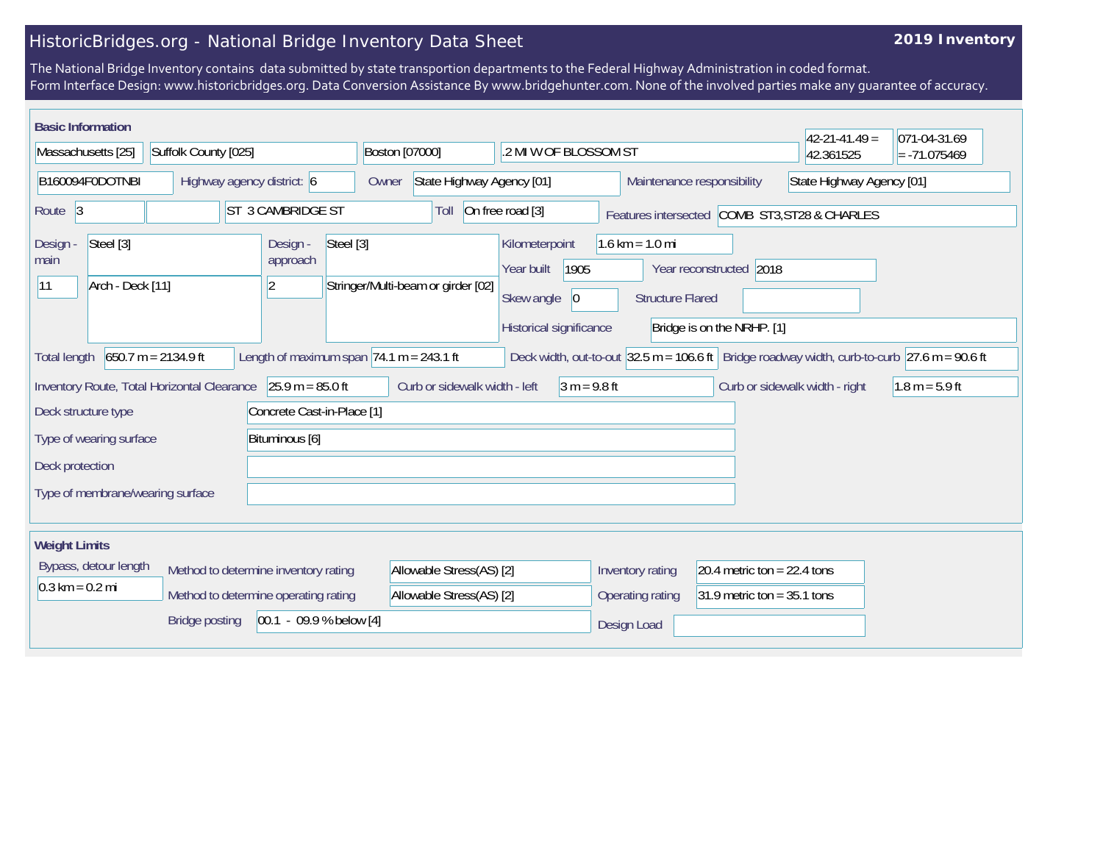## HistoricBridges.org - National Bridge Inventory Data Sheet

## **2019 Inventory**

The National Bridge Inventory contains data submitted by state transportion departments to the Federal Highway Administration in coded format. Form Interface Design: www.historicbridges.org. Data Conversion Assistance By www.bridgehunter.com. None of the involved parties make any guarantee of accuracy.

| <b>Basic Information</b><br>$42 - 21 - 41.49 =$<br>071-04-31.69                                                                                                                                                                    |                                   |                   |                                                 |                                                                   |                                   |                               |                                |                  |
|------------------------------------------------------------------------------------------------------------------------------------------------------------------------------------------------------------------------------------|-----------------------------------|-------------------|-------------------------------------------------|-------------------------------------------------------------------|-----------------------------------|-------------------------------|--------------------------------|------------------|
| Massachusetts [25]<br>Suffolk County [025]                                                                                                                                                                                         |                                   |                   | Boston [07000]<br>.2 MI W OF BLOSSOM ST         |                                                                   |                                   |                               | 42.361525                      | $= -71.075469$   |
| B160094F0DOTNBI<br>Highway agency district: 6                                                                                                                                                                                      |                                   |                   | Owner                                           | State Highway Agency [01]<br>Maintenance responsibility           |                                   |                               | State Highway Agency [01]      |                  |
| Route <sub>3</sub>                                                                                                                                                                                                                 |                                   | ST 3 CAMBRIDGE ST | Toll                                            | On free road [3]<br>Features intersected COMB ST3, ST28 & CHARLES |                                   |                               |                                |                  |
| Steel [3]<br>Design<br>main                                                                                                                                                                                                        | Steel [3]<br>Design -<br>approach |                   |                                                 | Kilometerpoint<br>1905<br>Year built                              | $1.6 \text{ km} = 1.0 \text{ mi}$ | Year reconstructed 2018       |                                |                  |
| 11<br>Arch - Deck [11]<br>$\overline{2}$                                                                                                                                                                                           |                                   |                   | Stringer/Multi-beam or girder [02]              | Skew angle<br> 0                                                  | <b>Structure Flared</b>           |                               |                                |                  |
|                                                                                                                                                                                                                                    |                                   |                   |                                                 | Historical significance                                           | Bridge is on the NRHP. [1]        |                               |                                |                  |
| Length of maximum span $74.1$ m = 243.1 ft<br>$650.7 m = 2134.9 ft$<br>Deck width, out-to-out $ 32.5 \text{ m} = 106.6 \text{ ft} $ Bridge roadway width, curb-to-curb $ 27.6 \text{ m} = 90.6 \text{ ft} $<br><b>Total length</b> |                                   |                   |                                                 |                                                                   |                                   |                               |                                |                  |
| $25.9 m = 85.0 ft$<br>Inventory Route, Total Horizontal Clearance                                                                                                                                                                  |                                   |                   | $3 m = 9.8 ft$<br>Curb or sidewalk width - left |                                                                   |                                   |                               | Curb or sidewalk width - right | $1.8 m = 5.9 ft$ |
| Concrete Cast-in-Place [1]<br>Deck structure type                                                                                                                                                                                  |                                   |                   |                                                 |                                                                   |                                   |                               |                                |                  |
| Type of wearing surface<br>Bituminous [6]                                                                                                                                                                                          |                                   |                   |                                                 |                                                                   |                                   |                               |                                |                  |
| Deck protection                                                                                                                                                                                                                    |                                   |                   |                                                 |                                                                   |                                   |                               |                                |                  |
| Type of membrane/wearing surface                                                                                                                                                                                                   |                                   |                   |                                                 |                                                                   |                                   |                               |                                |                  |
| <b>Weight Limits</b>                                                                                                                                                                                                               |                                   |                   |                                                 |                                                                   |                                   |                               |                                |                  |
| Bypass, detour length<br>Method to determine inventory rating                                                                                                                                                                      |                                   |                   | Allowable Stress(AS) [2]                        |                                                                   | Inventory rating                  | 20.4 metric ton = $22.4$ tons |                                |                  |
| $0.3 \text{ km} = 0.2 \text{ mi}$<br>Method to determine operating rating                                                                                                                                                          |                                   |                   | Allowable Stress(AS) [2]                        |                                                                   | Operating rating                  | 31.9 metric ton = $35.1$ tons |                                |                  |
| $[00.1 - 09.9 %$ below [4]<br>Bridge posting                                                                                                                                                                                       |                                   |                   |                                                 |                                                                   | Design Load                       |                               |                                |                  |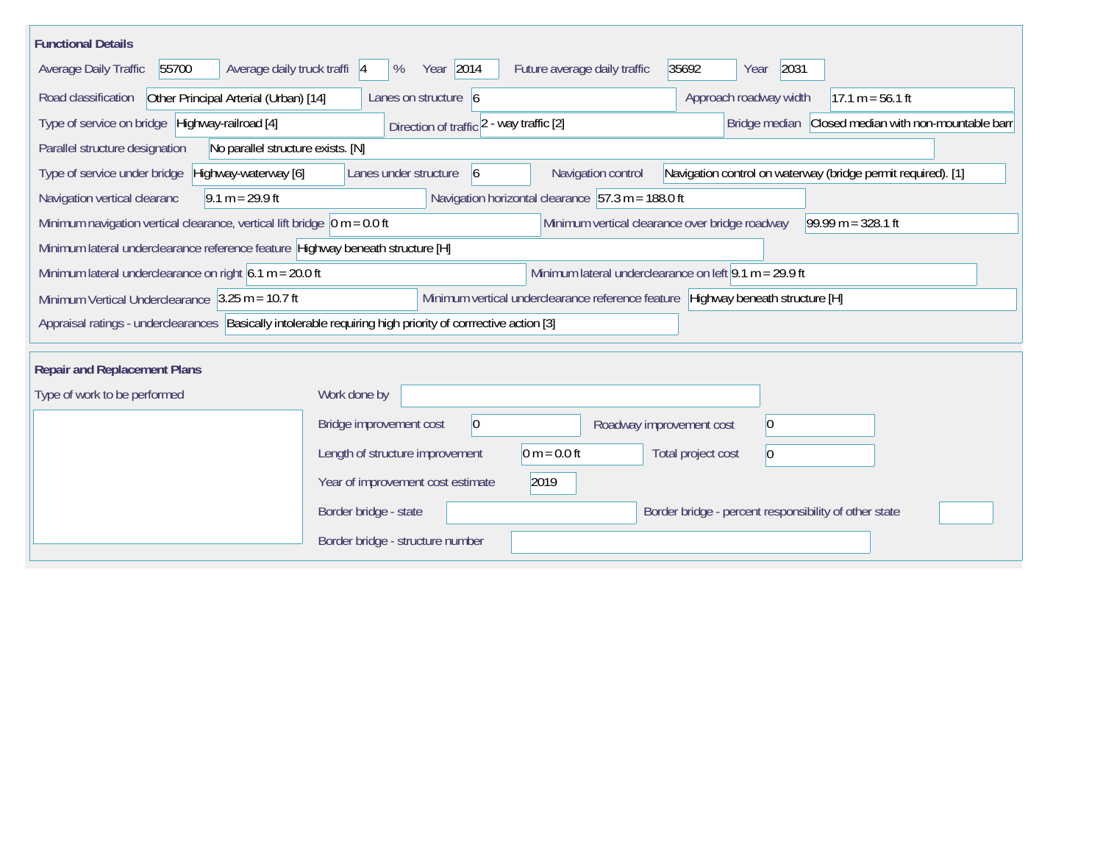| <b>Functional Details</b>                                                                                                                                  |                                                                                                                               |  |  |  |  |  |  |  |
|------------------------------------------------------------------------------------------------------------------------------------------------------------|-------------------------------------------------------------------------------------------------------------------------------|--|--|--|--|--|--|--|
| Average daily truck traffi  4<br>55700<br>Average Daily Traffic                                                                                            | Year 2014<br>2031<br>Future average daily traffic<br>35692<br>%<br>Year                                                       |  |  |  |  |  |  |  |
| Road classification<br>Other Principal Arterial (Urban) [14]                                                                                               | Approach roadway width<br>Lanes on structure 6<br>$17.1 m = 56.1 ft$                                                          |  |  |  |  |  |  |  |
| Type of service on bridge Highway-railroad [4]                                                                                                             | Bridge median Closed median with non-mountable barr<br>Direction of traffic 2 - way traffic [2]                               |  |  |  |  |  |  |  |
| Parallel structure designation<br>No parallel structure exists. [N]                                                                                        |                                                                                                                               |  |  |  |  |  |  |  |
| Highway-waterway [6]<br>Type of service under bridge                                                                                                       | Navigation control on waterway (bridge permit required). [1]<br>Navigation control<br>Lanes under structure<br>$\overline{6}$ |  |  |  |  |  |  |  |
| Navigation horizontal clearance $ 57.3 \text{ m} = 188.0 \text{ ft} $<br>$9.1 m = 29.9 ft$<br>Navigation vertical clearanc                                 |                                                                                                                               |  |  |  |  |  |  |  |
| Minimum navigation vertical clearance, vertical lift bridge $\vert$ 0 m = 0.0 ft<br>Minimum vertical clearance over bridge roadway<br>$99.99 m = 328.1 ft$ |                                                                                                                               |  |  |  |  |  |  |  |
| Minimum lateral underclearance reference feature Highway beneath structure [H]                                                                             |                                                                                                                               |  |  |  |  |  |  |  |
| Minimum lateral underclearance on left $9.1$ m = 29.9 ft<br>Minimum lateral underclearance on right $6.1 m = 20.0 ft$                                      |                                                                                                                               |  |  |  |  |  |  |  |
| Minimum Vertical Underclearance $ 3.25 \text{ m} = 10.7 \text{ ft} $                                                                                       | Minimum vertical underclearance reference feature Highway beneath structure [H]                                               |  |  |  |  |  |  |  |
| Appraisal ratings - underclearances Basically intolerable requiring high priority of corrrective action [3]                                                |                                                                                                                               |  |  |  |  |  |  |  |
|                                                                                                                                                            |                                                                                                                               |  |  |  |  |  |  |  |
| <b>Repair and Replacement Plans</b>                                                                                                                        |                                                                                                                               |  |  |  |  |  |  |  |
| Type of work to be performed                                                                                                                               | Work done by                                                                                                                  |  |  |  |  |  |  |  |
|                                                                                                                                                            | $ 0\rangle$<br>Bridge improvement cost<br>Roadway improvement cost<br>$\vert 0 \vert$                                         |  |  |  |  |  |  |  |
|                                                                                                                                                            | $0 m = 0.0 ft$<br>Length of structure improvement<br>Total project cost<br>$\vert 0 \vert$                                    |  |  |  |  |  |  |  |
|                                                                                                                                                            | 2019<br>Year of improvement cost estimate                                                                                     |  |  |  |  |  |  |  |
|                                                                                                                                                            | Border bridge - state<br>Border bridge - percent responsibility of other state                                                |  |  |  |  |  |  |  |
|                                                                                                                                                            | Border bridge - structure number                                                                                              |  |  |  |  |  |  |  |